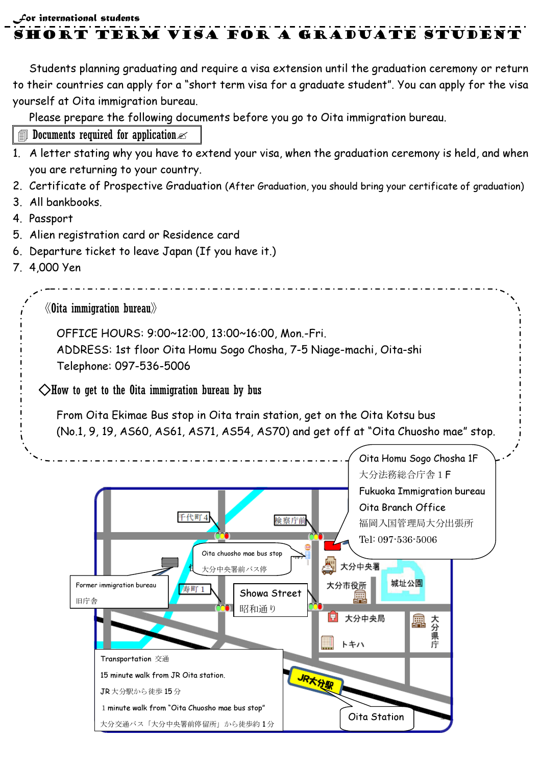$f$ or international students

short term visa for a graduate Student

Students planning graduating and require a visa extension until the graduation ceremony or return to their countries can apply for a "short term visa for a graduate student". You can apply for the visa yourself at Oita immigration bureau.

Please prepare the following documents before you go to Oita immigration bureau.

- **I** Documents required for application  $\ll$
- 1. A letter stating why you have to extend your visa, when the graduation ceremony is held, and when you are returning to your country.
- 2. Certificate of Prospective Graduation (After Graduation, you should bring your certificate of graduation)
- 3. All bankbooks.
- 4. Passport
- 5. Alien registration card or Residence card
- 6. Departure ticket to leave Japan (If you have it.)
- 7. 4,000 Yen

《Oita immigration bureau》

OFFICE HOURS: 9:00~12:00, 13:00~16:00, Mon.-Fri.

 ADDRESS: 1st floor Oita Homu Sogo Chosha, 7-5 Niage-machi, Oita-shi Telephone: 097-536-5006

 $\Diamond$ How to get to the Oita immigration bureau by bus

From Oita Ekimae Bus stop in Oita train station, get on the Oita Kotsu bus (No.1, 9, 19, AS60, AS61, AS71, AS54, AS70) and get off at "Oita Chuosho mae" stop.